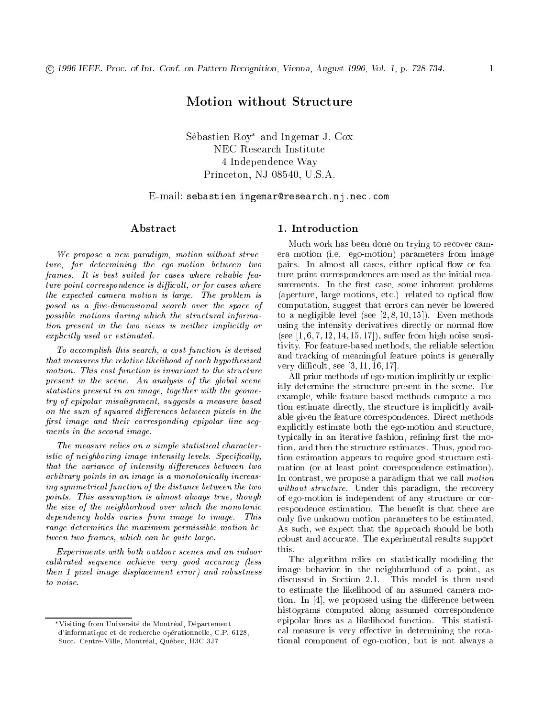# Motion without Structure

Sebastien Roy and Ingemar J. Cox NEC Research Institute 4 Independence Way Princeton, NJ 08540, U.S.A.

# $\operatorname{E-mail:}$  sebastien $|\texttt{ingemar@research.nj.net}$

## Abstract

We propose a new paradigm, motion without structure, for determining the ego-motion between two frames. It is best suited for cases where reliable fea $ture~point~correspondence~is~difficult,~or~for~cases~where$ the expected camera motion is large. The problem is posed as a five-dimensional search over the space of possible motions during which the structural information present in the two views is neither implicitly or explicitly used or estimated.

To accomplish this search, a cost function is devised that measures the relative likelihood of each hypothesized motion. This cost function is invariant to the structure present in the scene. An analysis of the global scene statistics present in an image, together with the geometry of epipolar misalignment, suggests a measure based on the sum of squared differences between pixels in the first image and their corresponding epipolar line segments in the second image.

The measure relies on a simple statistical characteristic of neighboring image intensity levels. Specifically, that the variance of intensity differences between two arbitrary points in an image is a monotonically increasing symmetrical function of the distance between the two points. This assumption is almost always true, though the size of the neighborhood over which the monotonic dependency holds varies from image to image. This range determines the maximum permissible motion between two frames, which can be quite large.

Experiments with both outdoor scenes and an indoor calibrated sequence achieve very good accuracy (less then 1 pixel image displacement error) and robustness to noise.

# 1. Introduction

Much work has been done on trying to recover camera motion (i.e. ego-motion) parameters from image pairs. In almost all cases, either optical flow or feature point correspondences are used as the initial measurements. In the first case, some inherent problems (aperture, large motions, etc.) related to optical flow computation, suggest that errors can never be lowered to a negligible level (see  $[2, 8, 10, 15]$ ). Even methods using the intensity derivatives directly or normal flow (see  $[1, 6, 7, 12, 14, 15, 17]$ ), suffer from high noise sensitivity. For feature-based methods, the reliable selection and tracking of meaningful feature points is generally very difficult, see  $[3, 11, 16, 17]$ .

All prior methods of ego-motion implicitly or explicitly determine the structure present in the scene. For example, while feature based methods compute a motion estimate directly, the structure is implicitly available given the feature correspondences. Direct methods explicitly estimate both the ego-motion and structure, typically in an iterative fashion, refining first the motion, and then the structure estimates. Thus, good motion estimation appears to require good structure estimation (or at least point correspondence estimation). In contrast, we propose a paradigm that we call motion without structure. Under this paradigm, the recovery of ego-motion is independent of any structure or correspondence estimation. The benefit is that there are only five unknown motion parameters to be estimated. As such, we expect that the approach should be both robust and accurate. The experimental results support this.

The algorithm relies on statistically modeling the image behavior in the neighborhood of a point, as discussed in Section 2.1. This model is then used to estimate the likelihood of an assumed camera motion. In  $[4]$ , we proposed using the difference between histograms computed along assumed correspondence epipolar lines as a likelihood function. This statistical measure is very effective in determining the rotational component of ego-motion, but is not always a

Visiting from Universite de Montreal, Departement d'informatique et de recherche operationnelle, C.P. 6128, succes centre-viele, Montreal, Quebec, H3C 3J77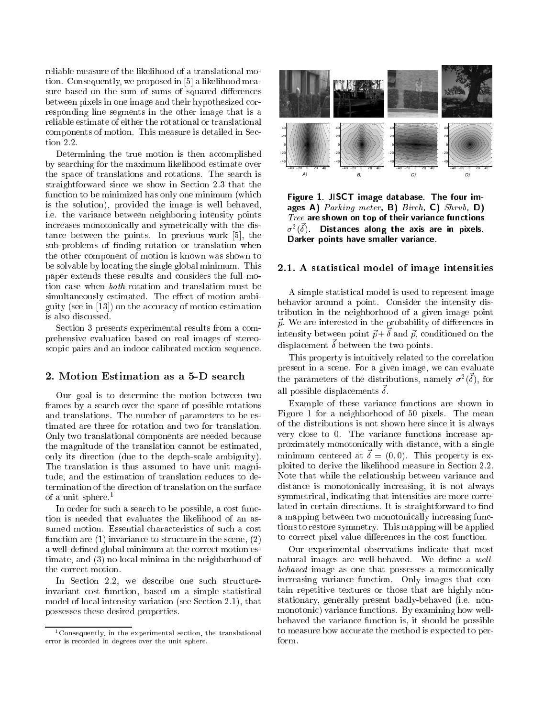reliable measure of the likelihood of a translational motion. Consequently, we proposed in [5] a likelihood measure based on the sum of sums of squared differences between pixels in one image and their hypothesized corresponding line segments in the other image that is a reliable estimate of either the rotational or translational components of motion. This measure is detailed in Section 2.2.

Determining the true motion is then accomplished by searching for the maximum likelihood estimate over the space of translations and rotations. The search is straightforward since we show in Section 2.3 that the function to be minimized has only one minimum (which is the solution), provided the image is well behaved, i.e. the variance between neighboring intensity points increases monotonically and symetrically with the distance between the points. In previous work [5], the sub-problems of finding rotation or translation when the other component of motion is known was shown to be solvable by locating the single global minimum. This paper extends these results and considers the full motion case when both rotation and translation must be simultaneously estimated. The effect of motion ambiguity (see in [13]) on the accuracy of motion estimation is also discussed.

Section 3 presents experimental results from a comprehensive evaluation based on real images of stereoscopic pairs and an indoor calibrated motion sequence.

### 2. Motion Estimation as <sup>a</sup> 5-D search

Our goal is to determine the motion between two frames by a search over the space of possible rotations and translations. The number of parameters to be estimated are three for rotation and two for translation. Only two translational components are needed because the magnitude of the translation cannot be estimated, only its direction (due to the depth-scale ambiguity). The translation is thus assumed to have unit magnitude, and the estimation of translation reduces to determination of the direction of translation on the surface of a unit sphere.<sup>1</sup>

In order for such a search to be possible, a cost function is needed that evaluates the likelihood of an assumed motion. Essential characteristics of such a cost function are (1) invariance to structure in the scene, (2) a well-defined global minimum at the correct motion estimate, and (3) no local minima in the neighborhood of the correct motion.

In Section 2.2, we describe one such structureinvariant cost function, based on a simple statistical model of local intensity variation (see Section 2.1), that possesses these desired properties.



Figure 1. JISCT image database. The four images A) Parking meter, B) Birch, C) Shrub, D) Tree are shown on top of their variance functions  $\sigma^2(\vec{\delta})$  . Distances along the axis are in pixels. Darker points have smaller variance.

### 2.1. A statistical model of image intensities

A simple statistical model is used to represent image behavior around a point. Consider the intensity distribution in the neighborhood of a given image point  $\vec{p}$ . We are interested in the probability of differences in intensity between point  $\vec{p} + \vec{\delta}$  and  $\vec{p}$ , conditioned on the displacement  $\vec{\delta}$  between the two points.

This property is intuitively related to the correlation present in a scene. For a given image, we can evaluate the parameters of the distributions, namely  $\sigma^2(\vec{\delta})$ , for all possible displacements  $\vec{\delta}$ .

Example of these variance functions are shown in Figure 1 for a neighborhood of 50 pixels. The mean of the distributions is not shown here since it is always very close to 0. The variance functions increase approximately monotonically with distance, with a single minimum centered at  $\vec{\delta} = (0, 0)$ . This property is exploited to derive the likelihood measure in Section 2.2. Note that while the relationship between variance and distance is monotonically increasing, it is not always symmetrical, indicating that intensities are more correlated in certain directions. It is straightforward to find a mapping between two monotonically increasing functions to restore symmetry. This mapping will be applied to correct pixel value differences in the cost function.

Our experimental observations indicate that most natural images are well-behaved. We define a  $well$ behaved image as one that possesses a monotonically increasing variance function. Only images that contain repetitive textures or those that are highly nonstationary, generally present badly-behaved (i.e. nonmonotonic) variance functions. By examining how wellbehaved the variance function is, it should be possible to measure how accurate the method is expected to perform.

<sup>1</sup>Consequently, in the experimental section, the translational error is recorded in degrees over the unit sphere.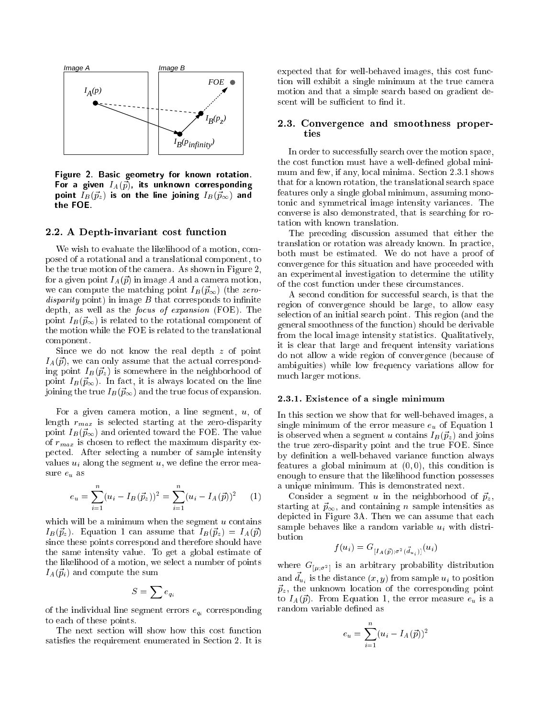

Figure 2. Basic geometry for known rotation. For a given  $I_A(\vec{p})$ , its unknown corresponding point  $I_B(\vec{p}_z)$  is on the line joining  $I_B(\vec{p}_{\infty})$  and the FOE.

### 2.2. A Depth-invariant cost function

We wish to evaluate the likelihood of a motion, composed of a rotational and a translational component, to be the true motion of the camera. As shown in Figure 2, for a given point  $I_A(\vec{p})$  in image A and a camera motion, we can compute the matching point  $I_B(\vec{p}_{\infty})$  (the zero*disparity* point) in image  $B$  that corresponds to infinite depth, as well as the focus of expansion (FOE). The point  $I_B(\vec{p}_{\infty})$  is related to the rotational component of the motion while the FOE is related to the translational component.

Since we do not know the real depth z of point  $I_A(\vec{p})$ , we can only assume that the actual corresponding point  $I_B(\vec{p}_z)$  is somewhere in the neighborhood of point  $I_B(\vec{p}_{\infty})$ . In fact, it is always located on the line joining the true  $I_B(\vec{p}_{\infty})$  and the true focus of expansion.

For a given camera motion, a line segment,  $u$ , of length  $r_{max}$  is selected starting at the zero-disparity point  $I_B(\vec{p}_{\infty})$  and oriented toward the FOE. The value of  $r_{max}$  is chosen to reflect the maximum disparity expected. After selecting a number of sample intensity values  $u_i$  along the segment  $u$ , we define the error measure  $\boldsymbol{e}_u$  as

$$
e_u = \sum_{i=1}^n (u_i - I_B(\vec{p}_z))^2 = \sum_{i=1}^n (u_i - I_A(\vec{p}))^2 \qquad (1)
$$

which will be a minimum when the segment  $u$  contains  $I_B(\vec{p}_z)$ . Equation 1 can assume that  $I_B(\vec{p}_z) = I_A(\vec{p})$ since these points correspond and therefore should have the same intensity value. To get a global estimate of the likelihood of a motion, we select a number of points  $I_A(\vec{p}_i)$  and compute the sum

$$
S=\sum e_{q_{i}}
$$

of the individual line segment errors  $e_{q_i}$  corresponding to each of these points.

The next section will show how this cost function satisfies the requirement enumerated in Section 2. It is expected that for well-behaved images, this cost function will exhibit a single minimum at the true camera motion and that a simple search based on gradient descent will be sufficient to find it.

### 2.3. Convergence and smoothness properties

In order to successfully search over the motion space, the cost function must have a well-defined global minimum and few, if any, local minima. Section 2.3.1 shows that for a known rotation, the translational search space features only a single global minimum, assuming monotonic and symmetrical image intensity variances. The converse is also demonstrated, that is searching for rotation with known translation.

The preceding discussion assumed that either the translation or rotation was already known. In practice, both must be estimated. We do not have a proof of convergence for this situation and have proceeded with an experimental investigation to determine the utility of the cost function under these circumstances.

A second condition for successful search, is that the region of convergence should be large, to allow easy selection of an initial search point. This region (and the general smoothness of the function) should be derivable from the local image intensity statistics. Qualitatively, it is clear that large and frequent intensity variations do not allow a wide region of convergence (because of ambiguities) while low frequency variations allow for much larger motions.

#### 2.3.1.1. Existence of a single minimum minimum minimum minimum minimum minimum minimum minimum minimum minimum

In this section we show that for well-behaved images, a single minimum of the error measure  $e_u$  of Equation 1 is observed when a segment u contains  $I_B(\vec{p}_z)$  and joins the true zero-disparity point and the true FOE. Since by definition a well-behaved variance function always features a global minimum at  $(0, 0)$ , this condition is enough to ensure that the likelihood function possesses a unique minimum. This is demonstrated next.

Consider a segment u in the neighborhood of  $\vec{p}_z$ , starting at  $\vec{p}_{\infty}$ , and containing n sample intensities as depicted in Figure 3A. Then we can assume that each sample behaves like a random variable  $u_i$  with distribution

$$
f(u_i) = G_{[I_A(\vec{p});\sigma^2(\vec{d}_{u_i})]}(u_i)
$$

where  $G_{\mu;\sigma^2}$  is an arbitrary probability distribution and  $\vec{d}_{u_i}$  is the distance  $(x, y)$  from sample  $u_i$  to position  $\vec{p}_z$ , the unknown location of the corresponding point to  $I_A(\vec{p})$ . From Equation 1, the error measure  $e_u$  is a random variable defined as

$$
e_u = \sum_{i=1}^n (u_i - I_A(\vec{p}))^2
$$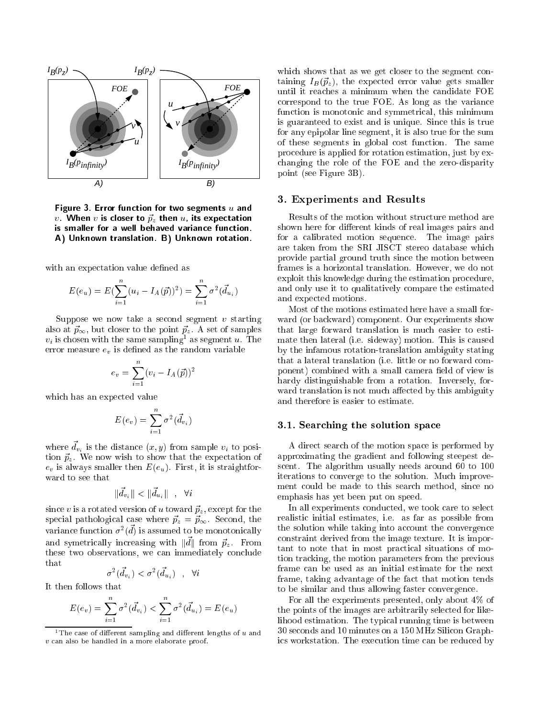

Figure 3. Error function for two segments  $u$  and v. When v is closer to  $\vec{p}_z$  then u, its expectation is smaller for a well behaved variance function. A) Unknown translation. B) Unknown rotation.

with an expectation value defined as

$$
E(e_u) = E(\sum_{i=1}^n (u_i - I_A(\vec{p}))^2) = \sum_{i=1}^n \sigma^2(\vec{d}_{u_i})
$$

Suppose we now take a second segment  $v$  starting also at  $\vec{p}_{\infty}$ , but closer to the point  $\vec{p}_{z}$ . A set of samples  $v_i$  is chosen with the same sampling  $^{\circ}$  as segment  $u$ . The error measure  $e<sub>v</sub>$  is defined as the random variable

$$
e_v = \sum_{i=1}^n (v_i - I_A(\vec{p}))^2
$$

which has an expected value

$$
E(e_v) = \sum_{i=1}^n \sigma^2(\vec{d}_{v_i})
$$

where  $\vec{d}_{v_i}$  is the distance  $(x, y)$  from sample  $v_i$  to position  $\vec{p}_z$ . We now wish to show that the expectation of  $e_v$  is always smaller then  $E(e_u)$ . First, it is straightforward to see that

$$
\|\vec{d}_{v_i}\| < \|\vec{d}_{u_i}\| \quad , \quad \forall i
$$

since v is a rotated version of u toward  $\vec{p}_z$ , except for the special pathological case where  $\vec{p}_z = \vec{p}_{\infty}$ . Second, the variance function  $\sigma^2(\vec{d})$  is assumed to be monotonically and symetrically increasing with  $\|\vec{d}\|$  from  $\vec{p}_z$ . From these two observations, we can immediately conclude that

$$
\sigma^2(\vec{d}_{v_i}) < \sigma^2(\vec{d}_{u_i}) \quad , \quad \forall i
$$

It then follows that

$$
E(e_v) = \sum_{i=1}^{n} \sigma^2(\vec{d}_{v_i}) < \sum_{i=1}^{n} \sigma^2(\vec{d}_{u_i}) = E(e_u)
$$

which shows that as we get closer to the segment containing  $I_B(\vec{p}_z)$ , the expected error value gets smaller until it reaches a minimum when the candidate FOE correspond to the true FOE. As long as the variance function is monotonic and symmetrical, this minimum is guaranteed to exist and is unique. Since this is true for any epipolar line segment, it is also true for the sum of these segments in global cost function. The same procedure is applied for rotation estimation, just by exchanging the role of the FOE and the zero-disparity point (see Figure 3B).

### 3. Experiments and Results

Results of the motion without structure method are shown here for different kinds of real images pairs and for a calibrated motion sequence. The image pairs are taken from the SRI JISCT stereo database which provide partial ground truth since the motion between frames is a horizontal translation. However, we do not exploit this knowledge during the estimation procedure, and only use it to qualitatively compare the estimated and expected motions.

Most of the motions estimated here have a small forward (or backward) component. Our experiments show that large forward translation is much easier to estimate then lateral (i.e. sideway) motion. This is caused by the infamous rotation-translation ambiguity stating that a lateral translation (i.e. little or no forward component) combined with a small camera field of view is hardy distinguishable from a rotation. Inversely, forward translation is not much affected by this ambiguity and therefore is easier to estimate.

### 3.1. Searching the solution space

A direct search of the motion space is performed by approximating the gradient and following steepest descent. The algorithm usually needs around 60 to 100 iterations to converge to the solution. Much improvement could be made to this search method, since no emphasis has yet been put on speed.

In all experiments conducted, we took care to select realistic initial estimates, i.e. as far as possible from the solution while taking into account the convergence constraint derived from the image texture. It is important to note that in most practical situations of motion tracking, the motion parameters from the previous frame can be used as an initial estimate for the next frame, taking advantage of the fact that motion tends to be similar and thus allowing faster convergence.

For all the experiments presented, only about 4% of the points of the images are arbitrarily selected for likelihood estimation. The typical running time is between 30 seconds and 10 minutes on a 150 MHz Silicon Graphics workstation. The execution time can be reduced by

the case of different sampling and different lengths of u and <sup>v</sup> can also be handled in <sup>a</sup> more elaborate proof.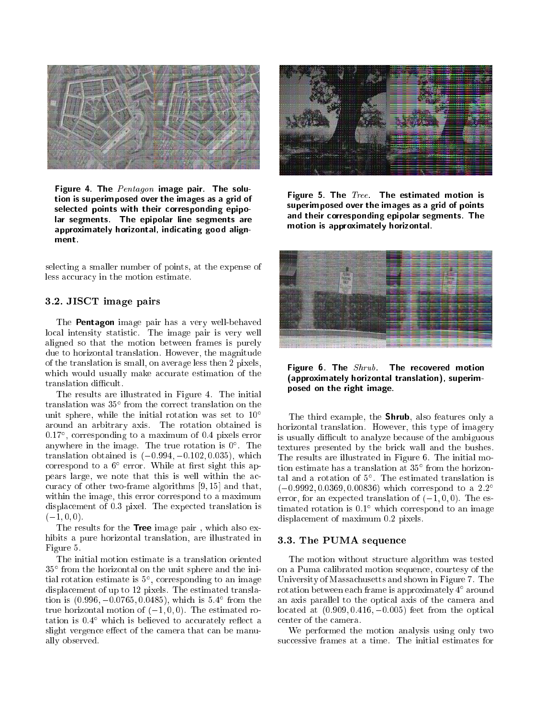

Figure 4. The  $Pentagon$  image pair. The solution is superimposed over the images as a grid of selected points with their corresponding epipolar segments. The epipolar line segments are approximately horizontal, indicating good alignment.

selecting a smaller number of points, at the expense of less accuracy in the motion estimate.

# 3.2. JISCT image pairs

The **Pentagon** image pair has a very well-behaved local intensity statistic. The image pair is very well aligned so that the motion between frames is purely due to horizontal translation. However, the magnitude of the translation is small, on average less then 2 pixels, which would usually make accurate estimation of the translation difficult.

The results are illustrated in Figure 4. The initial translation was 35 from the correct translation on the unit sphere, while the initial rotation was set to  $10^{\circ}$ around an arbitrary axis. The rotation obtained is 0:17 , corresponding to a maximum of 0:4 pixels error anywhere in the image. The true rotation is 0 . The translation obtained is  $(-0.994, -0.102, 0.035)$ , which correspond to a **b** error. While at first sight this appears large, we note that this is well within the accuracy of other two-frame algorithms [9, 15] and that, within the image, this error correspond to a maximum displacement of 0.3 pixel. The expected translation is  $(-1, 0, 0).$ 

The results for the Tree image pair, which also exhibits a pure horizontal translation, are illustrated in Figure 5.

The initial motion estimate is a translation oriented 35 from the horizontal on the unit sphere and the initial rotation estimate is 5 , corresponding to an image displacement of up to 12 pixels. The estimated translation is (0:996; 0:0765; 0:0485), which is 5:4 from the true horizontal motion of  $(-1, 0, 0)$ . The estimated rotation is 0.4 which is believed to accurately reliect a slight vergence effect of the camera that can be manually observed.



Figure 5. The  $Tree$  The estimated motion is superimposed over the images as a grid of points and their corresponding epipolar segments. The motion is approximately horizontal.



Figure 6. The  $Shrub$ . The recovered motion (approximately horizontal translation), superimposed on the right image.

The third example, the Shrub, also features only a horizontal translation. However, this type of imagery is usually difficult to analyze because of the ambiguous textures presented by the brick wall and the bushes. The results are illustrated in Figure 6. The initial motion estimate has a translation at 35 from the horizontal and a rotation of 5 . The estimated translation is  $(-0.9992, 0.0369, 0.00836)$  which correspond to a 2.2<sup>o</sup> error, for an expected translation of  $(-1, 0, 0)$ . The estimated rotation is 0:1 which correspond to an image displacement of maximum 0:2 pixels.

### 3.3. The PUMA sequence

The motion without structure algorithm was tested on a Puma calibrated motion sequence, courtesy of the University of Massachusetts and shown in Figure 7. The rotation between each frame is approximately 4 around an axis parallel to the optical axis of the camera and located at  $(0.909, 0.416, -0.005)$  feet from the optical center of the camera.

We performed the motion analysis using only two successive frames at a time. The initial estimates for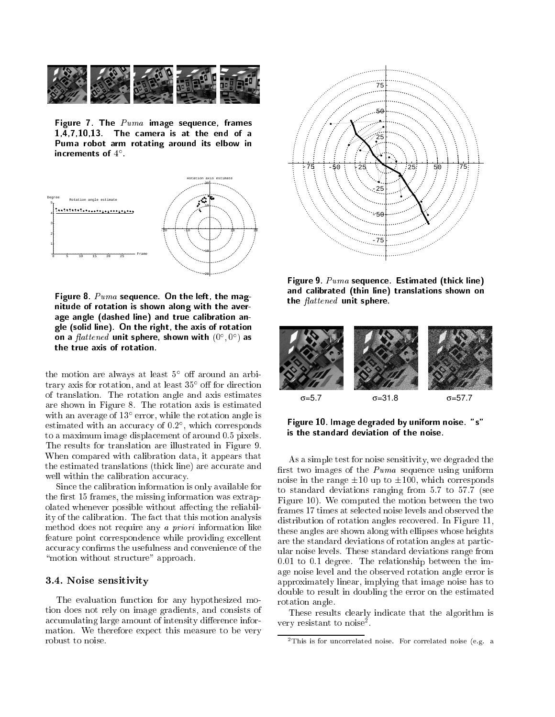

Figure 7. The  $Puma$  image sequence, frames 1,4,7,10,13. The camera is at the end of a Puma robot arm rotating around its elbow in increments of  $4$  .



Figure 8.  $Puma$  sequence. On the left, the magnitude of rotation is shown along with the average angle (dashed line) and true calibration angle (solid line). On the right, the axis of rotation on a  $\mu$ atte $n$ ea unit sphere, shown with  $(0^-,0^-)$  as the true axis of rotation.

the motion are always at least 5 foll around an arbitrary axis for rotation, and at least 35 o for direction of translation. The rotation angle and axis estimates are shown in Figure 8. The rotation axis is estimated with an average of 13 error, while the rotation angle is estimated with an accuracy of 0:2 , which corresponds to a maximum image displacement of around 0.5 pixels. The results for translation are illustrated in Figure 9. When compared with calibration data, it appears that the estimated translations (thick line) are accurate and well within the calibration accuracy.

Since the calibration information is only available for the first 15 frames, the missing information was extrapolated whenever possible without affecting the reliability of the calibration. The fact that this motion analysis method does not require any a priori information like feature point correspondence while providing excellent accuracy confirms the usefulness and convenience of the "motion without structure" approach.

### 3.4. Noise sensitivity

The evaluation function for any hypothesized motion does not rely on image gradients, and consists of accumulating large amount of intensity difference information. We therefore expect this measure to be very robust to noise.



Figure 9.  $Puma$  sequence. Estimated (thick line) and calibrated (thin line) translations shown on the  $\text{flattened}$  unit sphere.



Figure 10. Image degraded by uniform noise. "s" is the standard deviation of the noise.

As a simple test for noise sensitivity, we degraded the first two images of the  $Puma$  sequence using uniform noise in the range  $\pm 10$  up to  $\pm 100$ , which corresponds to standard deviations ranging from 5.7 to 57.7 (see Figure 10). We computed the motion between the two frames 17 times at selected noise levels and observed the distribution of rotation angles recovered. In Figure 11, these angles are shown along with ellipses whose heights are the standard deviations of rotation angles at particular noise levels. These standard deviations range from 0.01 to 0.1 degree. The relationship between the image noise level and the observed rotation angle error is approximately linear, implying that image noise has to double to result in doubling the error on the estimated rotation angle.

These results clearly indicate that the algorithm is very resistant to noise<sup>-</sup>.

<sup>2</sup>This is for uncorrelated noise. For correlated noise (e.g. <sup>a</sup>